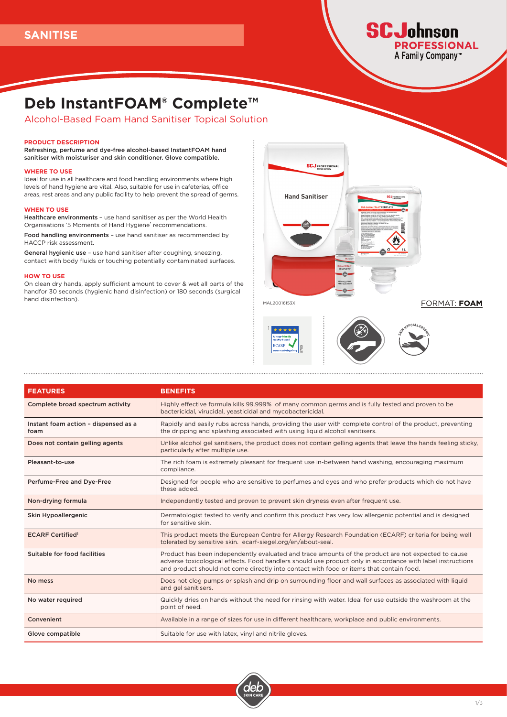# **SCJohnson PROFESSIONAL** A Family Company™

# **Deb InstantFOAM® Complete™**

Alcohol-Based Foam Hand Sanitiser Topical Solution

#### **PRODUCT DESCRIPTION**

Refreshing, perfume and dye-free alcohol-based InstantFOAM hand sanitiser with moisturiser and skin conditioner. Glove compatible.

#### **WHERE TO USE**

Ideal for use in all healthcare and food handling environments where high levels of hand hygiene are vital. Also, suitable for use in cafeterias, office areas, rest areas and any public facility to help prevent the spread of germs.

#### **WHEN TO USE**

Healthcare environments – use hand sanitiser as per the World Health Organisations '5 Moments of Hand Hygiene' recommendations.

Food handling environments – use hand sanitiser as recommended by HACCP risk assessment.

General hygienic use – use hand sanitiser after coughing, sneezing, contact with body fluids or touching potentially contaminated surfaces.

#### **HOW TO USE**

On clean dry hands, apply sufficient amount to cover & wet all parts of the handfor 30 seconds (hygienic hand disinfection) or 180 seconds (surgical hand disinfection).



MAL20016153X

1

FORMAT: **FOAM**





| <b>FEATURES</b>                              | <b>BENEFITS</b>                                                                                                                                                                                                                                                                                              |  |
|----------------------------------------------|--------------------------------------------------------------------------------------------------------------------------------------------------------------------------------------------------------------------------------------------------------------------------------------------------------------|--|
| Complete broad spectrum activity             | Highly effective formula kills 99.999% of many common germs and is fully tested and proven to be<br>bactericidal, virucidal, yeasticidal and mycobactericidal.                                                                                                                                               |  |
| Instant foam action - dispensed as a<br>foam | Rapidly and easily rubs across hands, providing the user with complete control of the product, preventing<br>the dripping and splashing associated with using liquid alcohol sanitisers.                                                                                                                     |  |
| Does not contain gelling agents              | Unlike alcohol gel sanitisers, the product does not contain gelling agents that leave the hands feeling sticky,<br>particularly after multiple use.                                                                                                                                                          |  |
| Pleasant-to-use                              | The rich foam is extremely pleasant for frequent use in-between hand washing, encouraging maximum<br>compliance.                                                                                                                                                                                             |  |
| Perfume-Free and Dye-Free                    | Designed for people who are sensitive to perfumes and dyes and who prefer products which do not have<br>these added.                                                                                                                                                                                         |  |
| Non-drying formula                           | Independently tested and proven to prevent skin dryness even after frequent use.                                                                                                                                                                                                                             |  |
| Skin Hypoallergenic                          | Dermatologist tested to verify and confirm this product has very low allergenic potential and is designed<br>for sensitive skin.                                                                                                                                                                             |  |
| <b>ECARF Certified</b> <sup>1</sup>          | This product meets the European Centre for Allergy Research Foundation (ECARF) criteria for being well<br>tolerated by sensitive skin. ecarf-siegel.org/en/about-seal.                                                                                                                                       |  |
| Suitable for food facilities                 | Product has been independently evaluated and trace amounts of the product are not expected to cause<br>adverse toxicological effects. Food handlers should use product only in accordance with label instructions<br>and product should not come directly into contact with food or items that contain food. |  |
| No mess                                      | Does not clog pumps or splash and drip on surrounding floor and wall surfaces as associated with liquid<br>and gel sanitisers.                                                                                                                                                                               |  |
| No water required                            | Quickly dries on hands without the need for rinsing with water. Ideal for use outside the washroom at the<br>point of need.                                                                                                                                                                                  |  |
| Convenient                                   | Available in a range of sizes for use in different healthcare, workplace and public environments.                                                                                                                                                                                                            |  |
| Glove compatible                             | Suitable for use with latex, vinyl and nitrile gloves.                                                                                                                                                                                                                                                       |  |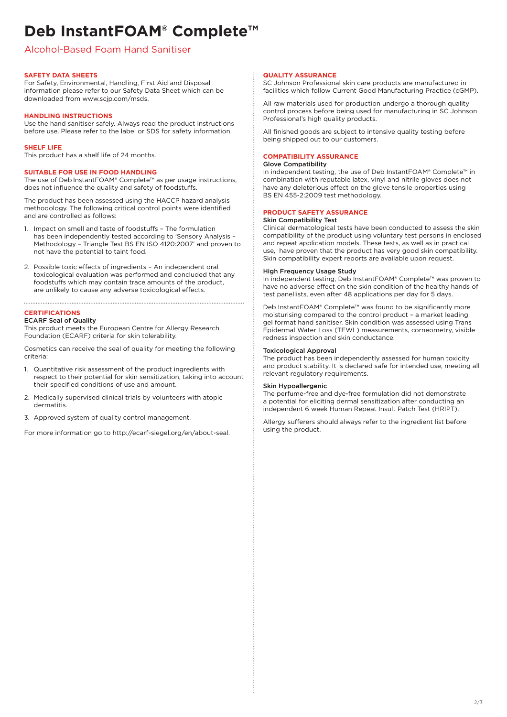# **Deb InstantFOAM® Complete™**

# Alcohol-Based Foam Hand Sanitiser

# **SAFETY DATA SHEETS**

For Safety, Environmental, Handling, First Aid and Disposal information please refer to our Safety Data Sheet which can be downloaded from www.scjp.com/msds.

## **HANDLING INSTRUCTIONS**

Use the hand sanitiser safely. Always read the product instructions before use. Please refer to the label or SDS for safety information.

# **SHELF LIFE**

This product has a shelf life of 24 months.

# **SUITABLE FOR USE IN FOOD HANDLING**

The use of Deb InstantFOAM® Complete™ as per usage instructions, does not influence the quality and safety of foodstuffs.

The product has been assessed using the HACCP hazard analysis methodology. The following critical control points were identified and are controlled as follows:

- Impact on smell and taste of foodstuffs The formulation has been independently tested according to 'Sensory Analysis – Methodology – Triangle Test BS EN ISO 4120:2007' and proven to not have the potential to taint food.
- 2. Possible toxic effects of ingredients An independent oral toxicological evaluation was performed and concluded that any foodstuffs which may contain trace amounts of the product, are unlikely to cause any adverse toxicological effects.

### **CERTIFICATIONS**

#### ECARF Seal of Quality

This product meets the European Centre for Allergy Research Foundation (ECARF) criteria for skin tolerability.

Cosmetics can receive the seal of quality for meeting the following criteria:

- 1. Quantitative risk assessment of the product ingredients with respect to their potential for skin sensitization, taking into account their specified conditions of use and amount.
- 2. Medically supervised clinical trials by volunteers with atopic dermatitis.
- 3. Approved system of quality control management.

For more information go to http://ecarf-siegel.org/en/about-seal.

#### **QUALITY ASSURANCE**

SC Johnson Professional skin care products are manufactured in facilities which follow Current Good Manufacturing Practice (cGMP).

All raw materials used for production undergo a thorough quality control process before being used for manufacturing in SC Johnson Professional's high quality products.

All finished goods are subject to intensive quality testing before being shipped out to our customers.

#### **COMPATIBILITY ASSURANCE**

#### Glove Compatibility

In independent testing, the use of Deb InstantFOAM® Complete™ in combination with reputable latex, vinyl and nitrile gloves does not have any deleterious effect on the glove tensile properties using BS EN 455-2:2009 test methodology.

# **PRODUCT SAFETY ASSURANCE**

### Skin Compatibility Test

Clinical dermatological tests have been conducted to assess the skin compatibility of the product using voluntary test persons in enclosed and repeat application models. These tests, as well as in practical use, have proven that the product has very good skin compatibility. Skin compatibility expert reports are available upon request.

#### High Frequency Usage Study

In independent testing, Deb InstantFOAM® Complete™ was proven to have no adverse effect on the skin condition of the healthy hands of test panellists, even after 48 applications per day for 5 days.

Deb InstantFOAM® Complete™ was found to be significantly more moisturising compared to the control product – a market leading gel format hand sanitiser. Skin condition was assessed using Trans Epidermal Water Loss (TEWL) measurements, corneometry, visible redness inspection and skin conductance.

#### Toxicological Approval

The product has been independently assessed for human toxicity and product stability. It is declared safe for intended use, meeting all relevant regulatory requirements.

#### Skin Hypoallergenic

The perfume-free and dye-free formulation did not demonstrate a potential for eliciting dermal sensitization after conducting an independent 6 week Human Repeat Insult Patch Test (HRIPT).

Allergy sufferers should always refer to the ingredient list before using the product.